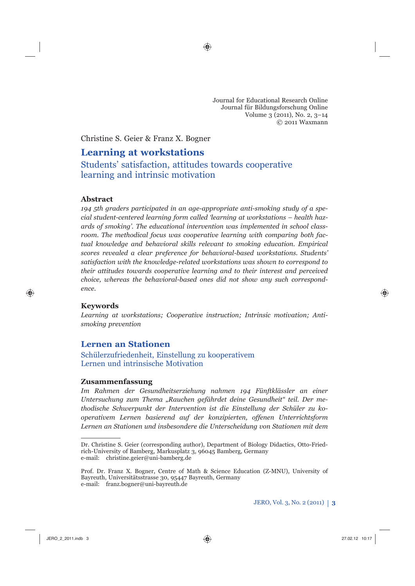Journal for Educational Research Online Journal für Bildungsforschung Online Volume 3 (2011), No. 2, 3–14 © 2011 Waxmann

Christine S. Geier & Franz X. Bogner

# **Learning at workstations**

Students' satisfaction, attitudes towards cooperative learning and intrinsic motivation

### **Abstract**

*194 5th graders participated in an age-appropriate anti-smoking study of a special student-centered learning form called 'learning at workstations – health hazards of smoking'. The educational intervention was implemented in school classroom. The methodical focus was cooperative learning with comparing both factual knowledge and behavioral skills relevant to smoking education. Empirical scores revealed a clear preference for behavioral-based workstations. Students' satisfaction with the knowledge-related workstations was shown to correspond to their attitudes towards cooperative learning and to their interest and perceived choice, whereas the behavioral-based ones did not show any such correspond* $enc<sub>e</sub>$ 

### **Keywords**

*Learning at workstations; Cooperative instruction; Intrinsic motivation; Antismoking prevention*

# **Lernen an Stationen**

Schülerzufriedenheit, Einstellung zu kooperativem Lernen und intrinsische Motivation

### **Zusammenfassung**

*Im Rahmen der Gesundheitserziehung nahmen 194 Fünftklässler an einer Untersuchung zum Thema "Rauchen gefährdet deine Gesundheit" teil. Der methodische Schwerpunkt der Intervention ist die Einstellung der Schüler zu kooperativem Lernen basierend auf der konzipierten, offenen Unterrichtsform Lernen an Stationen und insbesondere die Unterscheidung von Stationen mit dem* 

Dr. Christine S. Geier (corresponding author), Department of Biology Didactics, Otto-Friedrich-University of Bamberg, Markusplatz 3, 96045 Bamberg, Germany e-mail: christine.geier@uni-bamberg.de

Prof. Dr. Franz X. Bogner, Centre of Math & Science Education (Z-MNU), University of Bayreuth, Universitätsstrasse 30, 95447 Bayreuth, Germany e-mail: franz.bogner@uni-bayreuth.de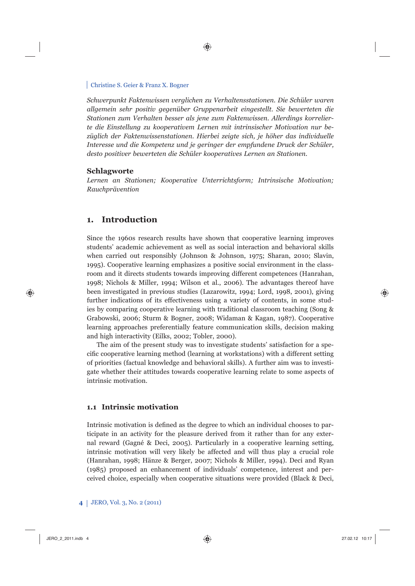*Schwerpunkt Faktenwissen verglichen zu Verhaltensstationen. Die Schüler waren allgemein sehr positiv gegenüber Gruppenarbeit eingestellt. Sie bewerteten die Stationen zum Verhalten besser als jene zum Faktenwissen. Allerdings korrelierte die Einstellung zu kooperativem Lernen mit intrinsischer Motivation nur bezüglich der Faktenwissenstationen. Hierbei zeigte sich, je höher das individuelle Interesse und die Kompetenz und je geringer der empfundene Druck der Schüler, desto positiver bewerteten die Schüler kooperatives Lernen an Stationen.* 

#### **Schlagworte**

*Lernen an Stationen; Kooperative Unterrichtsform; Intrinsische Motivation; Rauchprävention*

### **1. Introduction**

Since the 1960s research results have shown that cooperative learning improves students' academic achievement as well as social interaction and behavioral skills when carried out responsibly (Johnson & Johnson, 1975; Sharan, 2010; Slavin, 1995). Cooperative learning emphasizes a positive social environment in the classroom and it directs students towards improving different competences (Hanrahan, 1998; Nichols & Miller, 1994; Wilson et al., 2006). The advantages thereof have been investigated in previous studies (Lazarowitz, 1994; Lord, 1998, 2001), giving further indications of its effectiveness using a variety of contents, in some studies by comparing cooperative learning with traditional classroom teaching (Song & Grabowski, 2006; Sturm & Bogner, 2008; Widaman & Kagan, 1987). Cooperative learning approaches preferentially feature communication skills, decision making and high interactivity (Eilks, 2002; Tobler, 2000).

The aim of the present study was to investigate students' satisfaction for a specific cooperative learning method (learning at workstations) with a different setting of priorities (factual knowledge and behavioral skills). A further aim was to investigate whether their attitudes towards cooperative learning relate to some aspects of intrinsic motivation.

### **1.1 Intrinsic motivation**

Intrinsic motivation is defined as the degree to which an individual chooses to participate in an activity for the pleasure derived from it rather than for any external reward (Gagné & Deci, 2005). Particularly in a cooperative learning setting, intrinsic motivation will very likely be affected and will thus play a crucial role (Hanrahan, 1998; Hänze & Berger, 2007; Nichols & Miller, 1994). Deci and Ryan (1985) proposed an enhancement of individuals' competence, interest and perceived choice, especially when cooperative situations were provided (Black & Deci,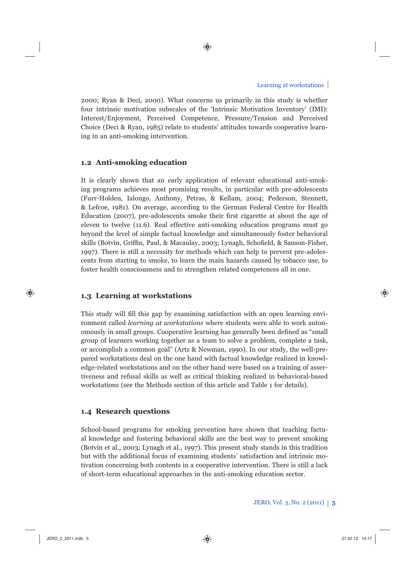2000; Ryan & Deci, 2000). What concerns us primarily in this study is whether four intrinsic motivation subscales of the 'Intrinsic Motivation Inventory' (IMI): Interest/Enjoyment, Perceived Competence, Pressure/Tension and Perceived Choice (Deci & Ryan, 1985) relate to students' attitudes towards cooperative learning in an anti-smoking intervention.

# **1.2 Anti-smoking education**

It is clearly shown that an early application of relevant educational anti-smoking programs achieves most promising results, in particular with pre-adolescents (Furr-Holden, Ialongo, Anthony, Petras, & Kellam, 2004; Pederson, Stennett, & Lefcoe, 1981). On average, according to the German Federal Centre for Health Education (2007), pre-adolescents smoke their first cigarette at about the age of eleven to twelve (11.6). Real effective anti-smoking education programs must go beyond the level of simple factual knowledge and simultaneously foster behavioral skills (Botvin, Griffin, Paul, & Macaulay, 2003; Lynagh, Schofield, & Sanson-Fisher, 1997). There is still a necessity for methods which can help to prevent pre-adolescents from starting to smoke, to learn the main hazards caused by tobacco use, to foster health consciousness and to strengthen related competences all in one.

# **1.3 Learning at workstations**

This study will fill this gap by examining satisfaction with an open learning environment called *learning at workstations* where students were able to work autonomously in small groups. Cooperative learning has generally been defined as "small" group of learners working together as a team to solve a problem, complete a task, or accomplish a common goal" (Artz & Newman, 1990). In our study, the well-prepared workstations deal on the one hand with factual knowledge realized in knowledge-related workstations and on the other hand were based on a training of assertiveness and refusal skills as well as critical thinking realized in behavioral-based workstations (see the Methods section of this article and Table 1 for details).

### **1.4 Research questions**

School-based programs for smoking prevention have shown that teaching factual knowledge and fostering behavioral skills are the best way to prevent smoking (Botvin et al., 2003; Lynagh et al., 1997). This present study stands in this tradition but with the additional focus of examining students' satisfaction and intrinsic motivation concerning both contents in a cooperative intervention. There is still a lack of short-term educational approaches in the anti-smoking education sector.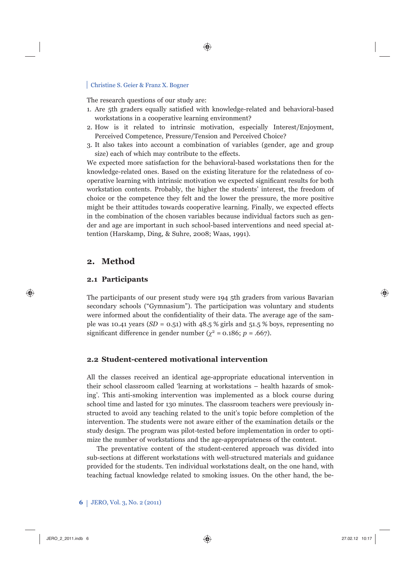The research questions of our study are:

- 1. Are 5th graders equally satisfied with knowledge-related and behavioral-based workstations in a cooperative learning environment?
- 2. How is it related to intrinsic motivation, especially Interest/Enjoyment, Perceived Competence, Pressure/Tension and Perceived Choice?
- 3. It also takes into account a combination of variables (gender, age and group size) each of which may contribute to the effects.

We expected more satisfaction for the behavioral-based workstations then for the knowledge-related ones. Based on the existing literature for the relatedness of cooperative learning with intrinsic motivation we expected significant results for both workstation contents. Probably, the higher the students' interest, the freedom of choice or the competence they felt and the lower the pressure, the more positive might be their attitudes towards cooperative learning. Finally, we expected effects in the combination of the chosen variables because individual factors such as gender and age are important in such school-based interventions and need special attention (Harskamp, Ding, & Suhre, 2008; Waas, 1991).

### **2. Method**

### **2.1 Participants**

The participants of our present study were 194 5th graders from various Bavarian secondary schools ("Gymnasium"). The participation was voluntary and students were informed about the confidentiality of their data. The average age of the sample was 10.41 years  $(SD = 0.51)$  with 48.5 % girls and 51.5 % boys, representing no significant difference in gender number ( $\chi^2$  = 0.186; *p* = .667).

### **2.2 Student-centered motivational intervention**

All the classes received an identical age-appropriate educational intervention in their school classroom called 'learning at workstations – health hazards of smoking'. This anti-smoking intervention was implemented as a block course during school time and lasted for 130 minutes. The classroom teachers were previously instructed to avoid any teaching related to the unit's topic before completion of the intervention. The students were not aware either of the examination details or the study design. The program was pilot-tested before implementation in order to optimize the number of workstations and the age-appropriateness of the content.

The preventative content of the student-centered approach was divided into sub-sections at different workstations with well-structured materials and guidance provided for the students. Ten individual workstations dealt, on the one hand, with teaching factual knowledge related to smoking issues. On the other hand, the be-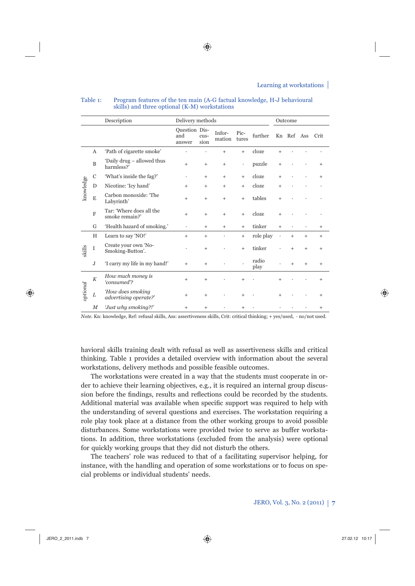|           |                | Description<br>Delivery methods            |                                |              |                  |               |               |           | Outcome |                 |           |  |
|-----------|----------------|--------------------------------------------|--------------------------------|--------------|------------------|---------------|---------------|-----------|---------|-----------------|-----------|--|
|           |                |                                            | Question Dis-<br>and<br>answer | cus-<br>sion | Infor-<br>mation | Pic-<br>tures | further       |           |         | Kn Ref Ass Crit |           |  |
| knowledge | А              | 'Path of cigarette smoke'                  |                                |              | $^{+}$           | $+$           | cloze         | $^{+}$    |         |                 |           |  |
|           | $\mathbf B$    | 'Daily drug – allowed thus<br>harmless?'   | $+$                            | $^{+}$       | $^{+}$           | ٠             | puzzle        | $^{+}$    |         |                 | $^{+}$    |  |
|           | $\mathbf C$    | 'What's inside the fag?'                   |                                | $^{+}$       | $^{+}$           | $^{+}$        | cloze         | $^{+}$    |         |                 |           |  |
|           | D              | Nicotine: 'Icy hand'                       | $\overline{+}$                 | $^{+}$       | $^{+}$           | $^{+}$        | cloze         | $^{+}$    |         |                 |           |  |
|           | E              | Carbon monoxide: 'The<br>Labyrinth'        | $^{+}$                         | $^{+}$       | $^{+}$           | $+$           | tables        | $^{+}$    |         |                 |           |  |
|           | $\overline{F}$ | Tar: 'Where does all the<br>smoke remain?' | $+$                            | $^{+}$       | $^{+}$           | $+$           | cloze         | $^{+}$    |         |                 |           |  |
|           | G              | 'Health hazard of smoking.'                | ٠                              | $^{+}$       | $^{+}$           | $^{+}$        | tinker        | $^{+}$    |         |                 | $^{+}$    |  |
| skills    | H              | Learn to say 'NO!'                         | $+$                            | $^{+}$       |                  | $^{+}$        | role play     | $\bullet$ | $+$     | $+$             | $^{+}$    |  |
|           | I              | Create your own 'No-<br>Smoking-Button'.   |                                | $^{+}$       |                  | $^{+}$        | tinker        |           | $+$     | $^{+}$          | $^{+}$    |  |
|           | J              | 'I carry my life in my hand!'              | $+$                            | $^{+}$       |                  |               | radio<br>play |           | $+$     | $^{+}$          | $^{+}$    |  |
| prional   | $\cal K$       | How much money is<br>consumed?             | $+$                            | $+$          |                  |               |               | $^{+}$    |         |                 | $\ddot{}$ |  |
|           | L              | How does smoking<br>advertising operate?'  | $+$                            | $^{+}$       |                  | $^{+}$        |               | $^{+}$    |         |                 | $^{+}$    |  |
|           | $_{M}$         | 'Just why smoking?!'                       | $^{+}$                         | $^{+}$       |                  | $^{+}$        |               |           |         |                 | $^{+}$    |  |

#### Table 1: Program features of the ten main (A-G factual knowledge, H-J behavioural skills) and three optional (K-M) workstations

*Note.* Kn: knowledge, Ref: refusal skills, Ass: assertiveness skills, Crit: critical thinking; + yes/used, · no/not used.

havioral skills training dealt with refusal as well as assertiveness skills and critical thinking. Table 1 provides a detailed overview with information about the several workstations, delivery methods and possible feasible outcomes.

The workstations were created in a way that the students must cooperate in order to achieve their learning objectives, e.g., it is required an internal group discussion before the findings, results and reflections could be recorded by the students. Additional material was available when specific support was required to help with the understanding of several questions and exercises. The workstation requiring a role play took place at a distance from the other working groups to avoid possible disturbances. Some workstations were provided twice to serve as buffer workstations. In addition, three workstations (excluded from the analysis) were optional for quickly working groups that they did not disturb the others.

The teachers' role was reduced to that of a facilitating supervisor helping, for instance, with the handling and operation of some workstations or to focus on special problems or individual students' needs.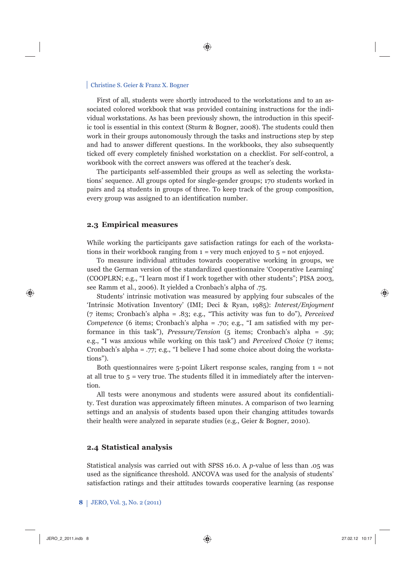First of all, students were shortly introduced to the workstations and to an associated colored workbook that was provided containing instructions for the individual workstations. As has been previously shown, the introduction in this specific tool is essential in this context (Sturm & Bogner, 2008). The students could then work in their groups autonomously through the tasks and instructions step by step and had to answer different questions. In the workbooks, they also subsequently ticked off every completely finished workstation on a checklist. For self-control, a workbook with the correct answers was offered at the teacher's desk.

The participants self-assembled their groups as well as selecting the workstations' sequence. All groups opted for single-gender groups; 170 students worked in pairs and 24 students in groups of three. To keep track of the group composition, every group was assigned to an identification number.

#### **2.3 Empirical measures**

While working the participants gave satisfaction ratings for each of the workstations in their workbook ranging from  $1 = \text{very much enjoyed to } 5 = \text{not enjoyed.}$ 

To measure individual attitudes towards cooperative working in groups, we used the German version of the standardized questionnaire 'Cooperative Learning' (COOPLRN; e.g., "I learn most if I work together with other students"; PISA 2003, see Ramm et al., 2006). It yielded a Cronbach's alpha of .75.

Students' intrinsic motivation was measured by applying four subscales of the 'Intrinsic Motivation Inventory' (IMI; Deci & Ryan, 1985): *Interest/Enjoyment* (7 items; Cronbach's alpha = .83; e.g., "This activity was fun to do"), *Perceived Competence* (6 items; Cronbach's alpha = .70; e.g., "I am satisfied with my performance in this task"), *Pressure/Tension* (5 items; Cronbach's alpha = .59; e.g., "I was anxious while working on this task") and *Perceived Choice* (7 items; Cronbach's alpha = .77; e.g., "I believe I had some choice about doing the workstations").

Both questionnaires were  $5$ -point Likert response scales, ranging from  $1 = not$ at all true to  $5$  = very true. The students filled it in immediately after the intervention.

All tests were anonymous and students were assured about its confidentiality. Test duration was approximately fifteen minutes. A comparison of two learning settings and an analysis of students based upon their changing attitudes towards their health were analyzed in separate studies (e.g., Geier & Bogner, 2010).

#### **2.4 Statistical analysis**

Statistical analysis was carried out with SPSS 16.0. A *p*-value of less than .05 was used as the significance threshold. ANCOVA was used for the analysis of students' satisfaction ratings and their attitudes towards cooperative learning (as response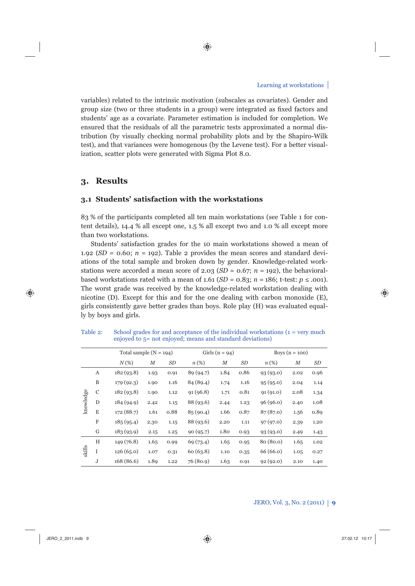variables) related to the intrinsic motivation (subscales as covariates). Gender and group size (two or three students in a group) were integrated as fixed factors and students' age as a covariate. Parameter estimation is included for completion. We ensured that the residuals of all the parametric tests approximated a normal distribution (by visually checking normal probability plots and by the Shapiro-Wilk test), and that variances were homogenous (by the Levene test). For a better visualization, scatter plots were generated with Sigma Plot 8.0.

# **3. Results**

### **3.1 Students' satisfaction with the workstations**

83 % of the participants completed all ten main workstations (see Table 1 for content details), 14.4 % all except one, 1.5 % all except two and 1.0 % all except more than two workstations.

Students' satisfaction grades for the 10 main workstations showed a mean of 1.92 ( $SD = 0.60$ ;  $n = 192$ ). Table 2 provides the mean scores and standard deviations of the total sample and broken down by gender. Knowledge-related workstations were accorded a mean score of 2.03 ( $SD = 0.67$ ;  $n = 192$ ), the behavioralbased workstations rated with a mean of 1.61  $(SD = 0.83; n = 186; t-test; p \le .001)$ . The worst grade was received by the knowledge-related workstation dealing with nicotine (D). Except for this and for the one dealing with carbon monoxide (E), girls consistently gave better grades than boys. Role play (H) was evaluated equally by boys and girls.

|           |             | Total sample $(N = 194)$ |        |      | Girls $(n = 94)$ |        |      | Boys $(n = 100)$ |        |      |  |
|-----------|-------------|--------------------------|--------|------|------------------|--------|------|------------------|--------|------|--|
|           |             | $N(\%)$                  | $_{M}$ | SD   | $n(\%)$          | $_{M}$ | SD   | n(%)             | $_{M}$ | SD   |  |
| knowledge | A           | 182(93.8)                | 1.93   | 0.91 | 89 (94.7)        | 1.84   | 0.86 | 93(93.0)         | 2.02   | 0.96 |  |
|           | B           | 179(92.3)                | 1.90   | 1.16 | 84 (89.4)        | 1.74   | 1.16 | 95(95.0)         | 2.04   | 1.14 |  |
|           | $\mathbf C$ | 182(93.8)                | 1.90   | 1.12 | 91(96.8)         | 1.71   | 0.81 | 91(91.0)         | 2.08   | 1.34 |  |
|           | D           | 184 (94.9)               | 2.42   | 1.15 | 88 (93.6)        | 2.44   | 1.23 | 96(96.0)         | 2.40   | 1.08 |  |
|           | E           | 172 (88.7)               | 1.61   | 0.88 | 85(90.4)         | 1.66   | 0.87 | 87(87.0)         | 1.56   | 0.89 |  |
|           | $\rm F$     | 185(95.4)                | 2.30   | 1.15 | 88 (93.6)        | 2.20   | 1.11 | 97(97.0)         | 2.39   | 1.20 |  |
|           | G           | 183(93.9)                | 2.15   | 1.25 | 90(95.7)         | 1.80   | 0.93 | 93(93.0)         | 2.49   | 1.43 |  |
| skills    | H           | 149(76.8)                | 1.65   | 0.99 | 69 (73.4)        | 1.65   | 0.95 | 80 (80.0)        | 1.65   | 1.02 |  |
|           | I           | 126(65.0)                | 1.07   | 0.31 | 60(63.8)         | 1.10   | 0.35 | 66(66.0)         | 1.05   | 0.27 |  |
|           | J           | 168 (86.6)               | 1.89   | 1.22 | 76 (80.9)        | 1.63   | 0.91 | 92(92.0)         | 2.10   | 1.40 |  |

Table 2: School grades for and acceptance of the individual workstations (1 = very much enjoyed to 5= not enjoyed; means and standard deviations)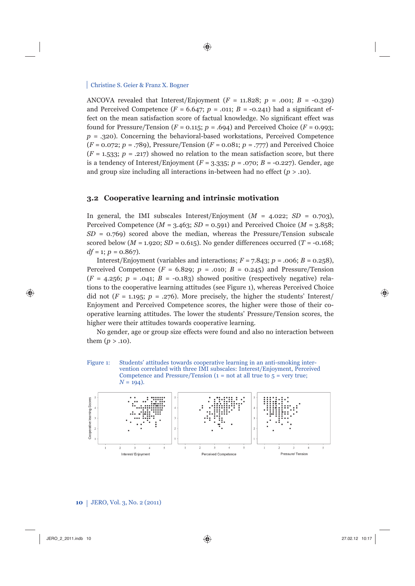ANCOVA revealed that Interest/Enjoyment  $(F = 11.828; p = .001; B = -0.329)$ and Perceived Competence  $(F = 6.647; p = .011; B = -0.241)$  had a significant effect on the mean satisfaction score of factual knowledge. No significant effect was found for Pressure/Tension  $(F = 0.115; p = .694)$  and Perceived Choice  $(F = 0.993;$  $p = .320$ . Concerning the behavioral-based workstations, Perceived Competence (*F* = 0.072; *p* = .789), Pressure/Tension (*F* = 0.081; *p* = .777) and Perceived Choice  $(F = 1.533; p = .217)$  showed no relation to the mean satisfaction score, but there is a tendency of Interest/Enjoyment  $(F = 3.335; p = .070; B = -0.227)$ . Gender, age and group size including all interactions in-between had no effect  $(p > .10)$ .

#### **3.2 Cooperative learning and intrinsic motivation**

In general, the IMI subscales Interest/Enjoyment  $(M = 4.022; SD = 0.703)$ , Perceived Competence  $(M = 3.463; SD = 0.591)$  and Perceived Choice  $(M = 3.858;$  $SD = 0.769$  scored above the median, whereas the Pressure/Tension subscale scored below ( $M = 1.920$ ;  $SD = 0.615$ ). No gender differences occurred ( $T = -0.168$ ;  $df = 1$ ;  $p = 0.867$ ).

Interest/Enjoyment (variables and interactions;  $F = 7.843$ ;  $p = .006$ ;  $B = 0.258$ ), Perceived Competence  $(F = 6.829; p = .010; B = 0.245)$  and Pressure/Tension  $(F = 4.256; p = .041; B = -0.183)$  showed positive (respectively negative) relations to the cooperative learning attitudes (see Figure 1), whereas Perceived Choice did not  $(F = 1.195; p = .276)$ . More precisely, the higher the students' Interest/ Enjoyment and Perceived Competence scores, the higher were those of their cooperative learning attitudes. The lower the students' Pressure/Tension scores, the higher were their attitudes towards cooperative learning.

No gender, age or group size effects were found and also no interaction between them  $(p > .10)$ .

Figure 1: Students' attitudes towards cooperative learning in an anti-smoking intervention correlated with three IMI subscales: Interest/Enjoyment, Perceived Competence and Pressure/Tension ( $1 = not$  at all true to  $5 = very$  true;  $N = 194$ .

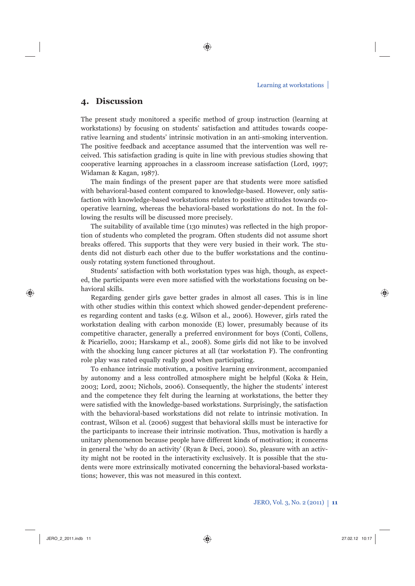# **4. Discussion**

The present study monitored a specific method of group instruction (learning at workstations) by focusing on students' satisfaction and attitudes towards cooperative learning and students' intrinsic motivation in an anti-smoking intervention. The positive feedback and acceptance assumed that the intervention was well received. This satisfaction grading is quite in line with previous studies showing that cooperative learning approaches in a classroom increase satisfaction (Lord, 1997; Widaman & Kagan, 1987).

The main findings of the present paper are that students were more satisfied with behavioral-based content compared to knowledge-based. However, only satisfaction with knowledge-based workstations relates to positive attitudes towards cooperative learning, whereas the behavioral-based workstations do not. In the following the results will be discussed more precisely.

The suitability of available time (130 minutes) was reflected in the high proportion of students who completed the program. Often students did not assume short breaks offered. This supports that they were very busied in their work. The students did not disturb each other due to the buffer workstations and the continuously rotating system functioned throughout.

Students' satisfaction with both workstation types was high, though, as expected, the participants were even more satisfied with the workstations focusing on behavioral skills.

Regarding gender girls gave better grades in almost all cases. This is in line with other studies within this context which showed gender-dependent preferences regarding content and tasks (e.g. Wilson et al., 2006). However, girls rated the workstation dealing with carbon monoxide (E) lower, presumably because of its competitive character, generally a preferred environment for boys (Conti, Collens, & Picariello, 2001; Harskamp et al., 2008). Some girls did not like to be involved with the shocking lung cancer pictures at all (tar workstation F). The confronting role play was rated equally really good when participating.

To enhance intrinsic motivation, a positive learning environment, accompanied by autonomy and a less controlled atmosphere might be helpful (Koka & Hein, 2003; Lord, 2001; Nichols, 2006). Consequently, the higher the students' interest and the competence they felt during the learning at workstations, the better they were satisfied with the knowledge-based workstations. Surprisingly, the satisfaction with the behavioral-based workstations did not relate to intrinsic motivation. In contrast, Wilson et al. (2006) suggest that behavioral skills must be interactive for the participants to increase their intrinsic motivation. Thus, motivation is hardly a unitary phenomenon because people have different kinds of motivation; it concerns in general the 'why do an activity' (Ryan & Deci, 2000). So, pleasure with an activity might not be rooted in the interactivity exclusively. It is possible that the students were more extrinsically motivated concerning the behavioral-based workstations; however, this was not measured in this context.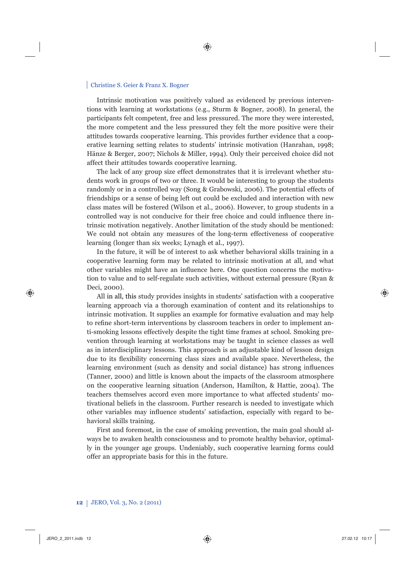Intrinsic motivation was positively valued as evidenced by previous interventions with learning at workstations (e.g., Sturm & Bogner, 2008). In general, the participants felt competent, free and less pressured. The more they were interested, the more competent and the less pressured they felt the more positive were their attitudes towards cooperative learning. This provides further evidence that a cooperative learning setting relates to students' intrinsic motivation (Hanrahan, 1998; Hänze & Berger, 2007; Nichols & Miller, 1994). Only their perceived choice did not affect their attitudes towards cooperative learning.

The lack of any group size effect demonstrates that it is irrelevant whether students work in groups of two or three. It would be interesting to group the students randomly or in a controlled way (Song & Grabowski, 2006). The potential effects of friendships or a sense of being left out could be excluded and interaction with new class mates will be fostered (Wilson et al., 2006). However, to group students in a controlled way is not conducive for their free choice and could influence there intrinsic motivation negatively. Another limitation of the study should be mentioned: We could not obtain any measures of the long-term effectiveness of cooperative learning (longer than six weeks; Lynagh et al., 1997).

In the future, it will be of interest to ask whether behavioral skills training in a cooperative learning form may be related to intrinsic motivation at all, and what other variables might have an influence here. One question concerns the motivation to value and to self-regulate such activities, without external pressure (Ryan & Deci, 2000).

All in all, this study provides insights in students' satisfaction with a cooperative learning approach via a thorough examination of content and its relationships to intrinsic motivation. It supplies an example for formative evaluation and may help to refine short-term interventions by classroom teachers in order to implement anti-smoking lessons effectively despite the tight time frames at school. Smoking prevention through learning at workstations may be taught in science classes as well as in interdisciplinary lessons. This approach is an adjustable kind of lesson design due to its flexibility concerning class sizes and available space. Nevertheless, the learning environment (such as density and social distance) has strong influences (Tanner, 2000) and little is known about the impacts of the classroom atmosphere on the cooperative learning situation (Anderson, Hamilton, & Hattie, 2004). The teachers themselves accord even more importance to what affected students' motivational beliefs in the classroom. Further research is needed to investigate which other variables may influence students' satisfaction, especially with regard to behavioral skills training.

First and foremost, in the case of smoking prevention, the main goal should always be to awaken health consciousness and to promote healthy behavior, optimally in the younger age groups. Undeniably, such cooperative learning forms could offer an appropriate basis for this in the future.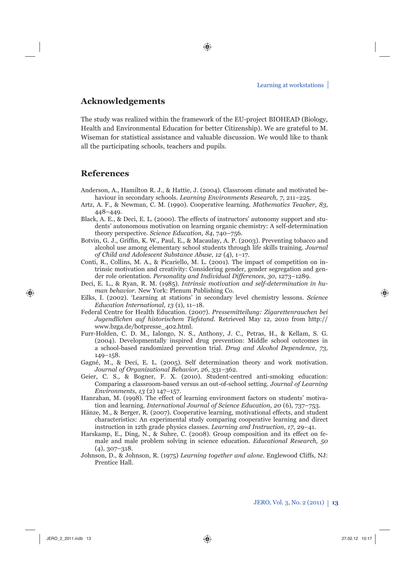# **Acknowledgements**

The study was realized within the framework of the EU-project BIOHEAD (Biology, Health and Environmental Education for better Citizenship). We are grateful to M. Wiseman for statistical assistance and valuable discussion. We would like to thank all the participating schools, teachers and pupils.

# **References**

- Anderson, A., Hamilton R. J., & Hattie, J. (2004). Classroom climate and motivated behaviour in secondary schools. *Learning Environments Research, 7*, 211–225.
- Artz, A. F., & Newman, C. M. (1990). Cooperative learning. *Mathematics Teacher*, *83*, 448–449.
- Black, A. E., & Deci, E. L. (2000). The effects of instructors' autonomy support and students' autonomous motivation on learning organic chemistry: A self-determination theory perspective*. Science Education, 84*, 740–756.
- Botvin, G. J., Griffin, K. W., Paul, E., & Macaulay, A. P. (2003). Preventing tobacco and alcohol use among elementary school students through life skills training. *Journal of Child and Adolescent Substance Abuse, 12* (4), 1–17.
- Conti, R., Collins, M. A., & Picariello, M. L. (2001). The impact of competition on intrinsic motivation and creativity: Considering gender, gender segregation and gender role orientation. *Personality and Individual Differences, 30*, 1273–1289.
- Deci, E. L., & Ryan, R. M. (1985). *Intrinsic motivation and self-determination in human behavior.* New York: Plenum Publishing Co.
- Eilks, I. (2002). 'Learning at stations' in secondary level chemistry lessons. *Science Education International, 13* (1), 11–18.
- Federal Centre for Health Education. (2007). *Pressemitteilung: Zigarettenrauchen bei Jugendlichen auf historischem Tiefstand*. Retrieved May 12, 2010 from http:// www.bzga.de/botpresse\_402.html.
- Furr-Holden, C. D. M., Ialongo, N. S., Anthony, J. C., Petras, H., & Kellam, S. G. (2004). Developmentally inspired drug prevention: Middle school outcomes in a school-based randomized prevention trial. *Drug and Alcohol Dependence, 73,* 149–158.
- Gagné, M., & Deci, E. L. (2005). Self determination theory and work motivation. *Journal of Organizational Behavior, 26*, 331–362.
- Geier, C. S., & Bogner, F. X. (2010). Student-centred anti-smoking education: Comparing a classroom-based versus an out-of-school setting. *Journal of Learning Environments*, *13* (2) 147–157.
- Hanrahan, M. (1998). The effect of learning environment factors on students' motivation and learning. *International Journal of Science Education, 20* (6), 737–753.
- Hänze, M., & Berger, R. (2007). Cooperative learning, motivational effects, and student characteristics: An experimental study comparing cooperative learning and direct instruction in 12th grade physics classes. *Learning and Instruction, 17*, 29–41.
- Harskamp, E., Ding, N., & Suhre, C. (2008). Group composition and its effect on female and male problem solving in science education. *Educational Research, 50* (4), 307–318.
- Johnson, D., & Johnson, R. (1975) *Learning together and alone.* Englewood Cliffs, NJ: Prentice Hall.